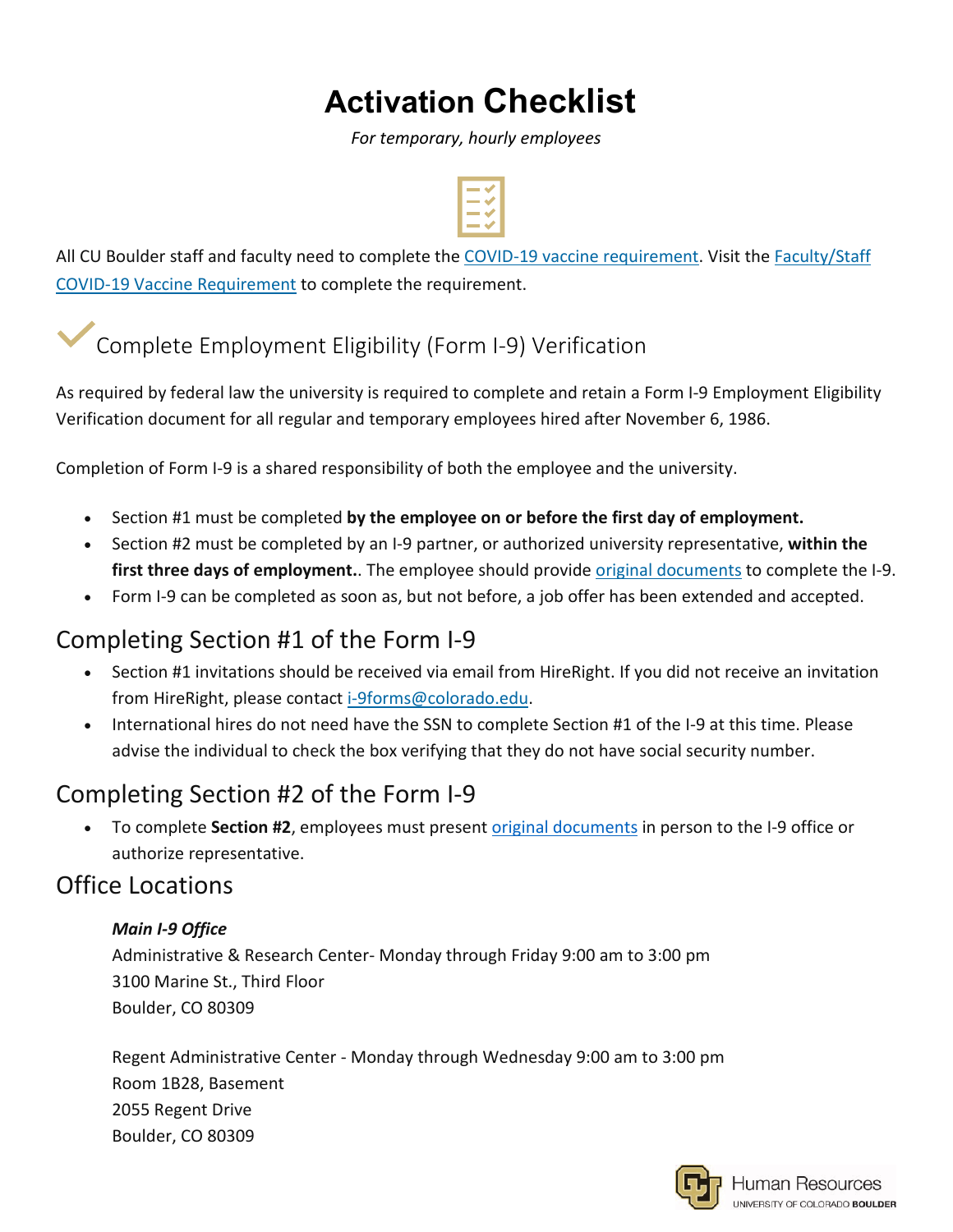# **Activation Checklist**

*For temporary, hourly employees*



All CU Boulder staff and faculty need to complete the COVID-19 vaccine [requirement.](https://www.colorado.edu/covid-19-updates/covid-19-vaccination) Visit the [Faculty/Staff](https://www.colorado.edu/health/facultystaff-covid-19-vaccine-requirement) COVID-19 Vaccine [Requirement](https://www.colorado.edu/health/facultystaff-covid-19-vaccine-requirement) to complete the requirement.

Complete Employment Eligibility (Form I-9) Verification

As required by federal law the university is required to complete and retain a Form I-9 Employment Eligibility Verification document for all regular and temporary employees hired after November 6, 1986.

Completion of Form I-9 is a shared responsibility of both the employee and the university.

- Section #1 must be completed **by the employee on or before the first day of employment.**
- Section #2 must be completed by an I-9 partner, or authorized university representative, **within the first three days of employment.**. The employee should provide original [documents](https://www.colorado.edu/hr/node/775/attachment) to complete the I-9.
- Form I-9 can be completed as soon as, but not before, a job offer has been extended and accepted.

### Completing Section #1 of the Form I-9

- Section #1 invitations should be received via email from HireRight. If you did not receive an invitation from HireRight, please contact [i-9forms@colorado.edu.](mailto:i-9forms@colorado.edu)
- International hires do not need have the SSN to complete Section #1 of the I-9 at this time. Please advise the individual to check the box verifying that they do not have social security number.

## Completing Section #2 of the Form I-9

• To complete **Section #2**, employees must present original [documents](https://www.colorado.edu/hr/node/775/attachment) in person to the I-9 office or authorize representative.

### Office Locations

#### *Main I-9 Office*

Administrative & Research Center- Monday through Friday 9:00 am to 3:00 pm 3100 Marine St., Third Floor Boulder, CO 80309

Regent Administrative Center - Monday through Wednesday 9:00 am to 3:00 pm Room 1B28, Basement 2055 Regent Drive Boulder, CO 80309

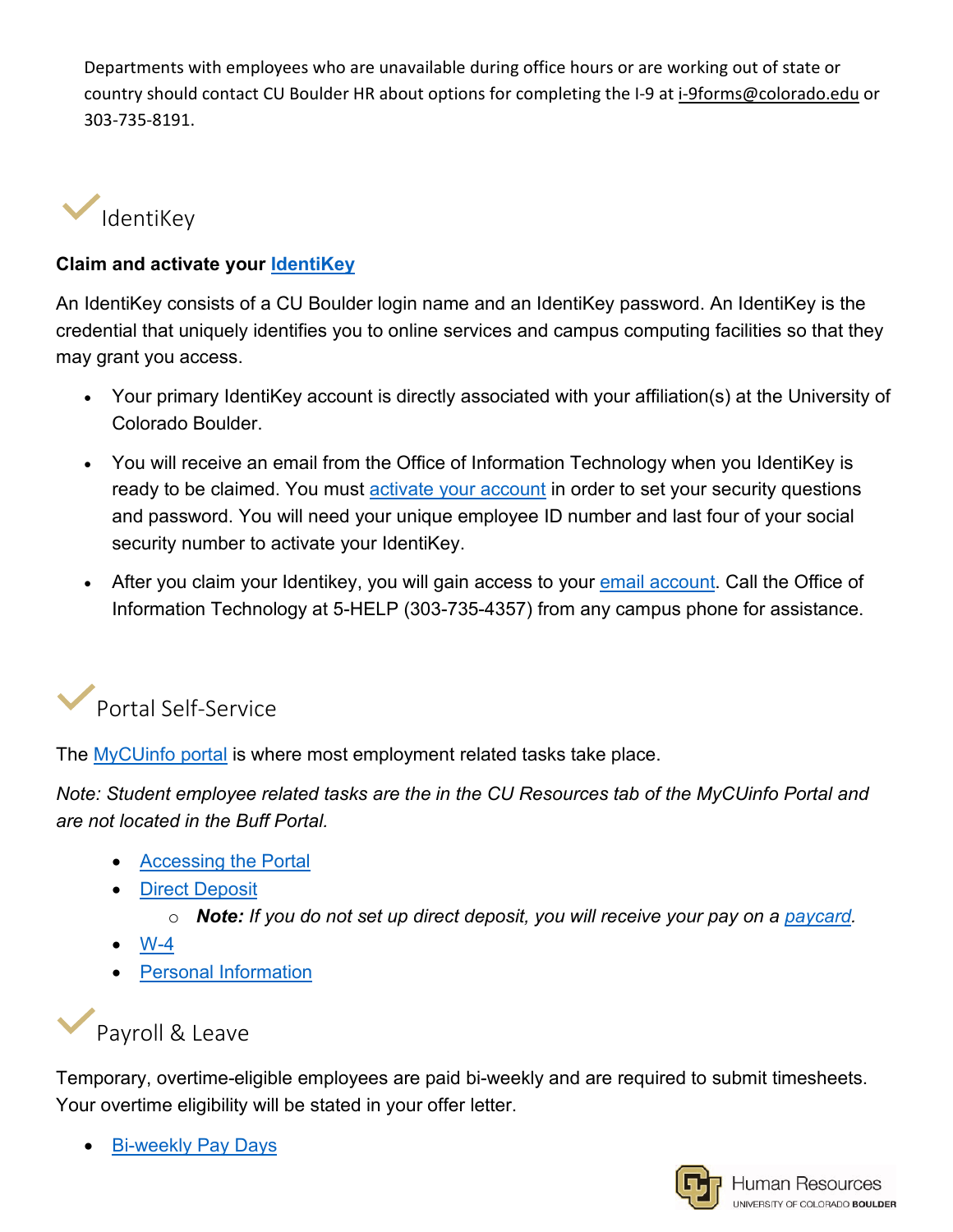Departments with employees who are unavailable during office hours or are working out of state or country should contact CU Boulder HR about options for completing the I-9 at i-9forms@colorado.edu or 303-735-8191. 



#### **Claim and activate your [IdentiKey](https://identikey.colorado.edu/)**

An IdentiKey consists of a CU Boulder login name and an IdentiKey password. An IdentiKey is the credential that uniquely identifies you to online services and campus computing facilities so that they may grant you access.

- Your primary IdentiKey account is directly associated with your affiliation(s) at the University of Colorado Boulder.
- You will receive an email from the Office of Information Technology when you IdentiKey is ready to be claimed. You must [activate your account](https://identikey.colorado.edu/) in order to set your security questions and password. You will need your unique employee ID number and last four of your social security number to activate your IdentiKey.
- After you claim your Identikey, you will gain access to your [email account.](https://oit.colorado.edu/services/messaging-collaboration/microsoft-office-365/help/exchange-online) Call the Office of Information Technology at 5-HELP (303-735-4357) from any campus phone for assistance.



The [MyCUinfo portal](http://mycuinfo.colorado.edu/) is where most employment related tasks take place.

*Note: Student employee related tasks are the in the CU Resources tab of the MyCUinfo Portal and are not located in the Buff Portal.* 

- [Accessing the Portal](https://www.cu.edu/employee-services/payroll/self-service/cu-resources-portal)
- **[Direct Deposit](https://www.cu.edu/employee-services/payroll/self-service/direct-deposit)** 
	- o *Note: If you do not set up direct deposit, you will receive your pay on a [paycard.](https://www.cu.edu/employee-services/paycards)*
- $W-4$
- [Personal Information](https://www.cu.edu/employee-services/payroll/self-service/personal-information)



Temporary, overtime-eligible employees are paid bi-weekly and are required to submit timesheets. Your overtime eligibility will be stated in your offer letter.

• [Bi-weekly Pay Days](https://www.cu.edu/employee-services/payroll/pay/pay-days)